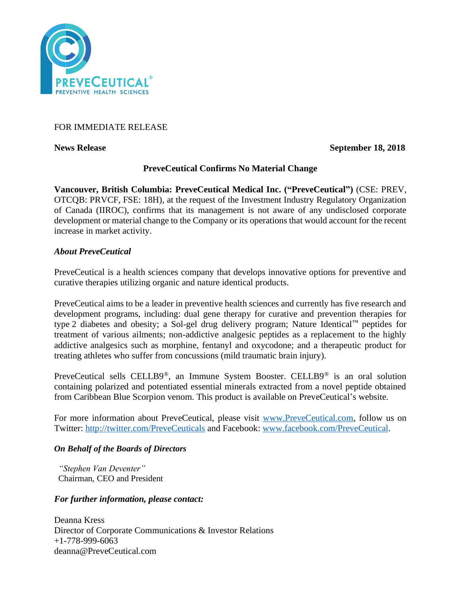

## FOR IMMEDIATE RELEASE

**News Release** September 18, 2018

# **PreveCeutical Confirms No Material Change**

**Vancouver, British Columbia: PreveCeutical Medical Inc. ("PreveCeutical")** (CSE: PREV, OTCQB: PRVCF, FSE: 18H), at the request of the Investment Industry Regulatory Organization of Canada (IIROC), confirms that its management is not aware of any undisclosed corporate development or material change to the Company or its operations that would account for the recent increase in market activity.

### *About PreveCeutical*

PreveCeutical is a health sciences company that develops innovative options for preventive and curative therapies utilizing organic and nature identical products.

PreveCeutical aims to be a leader in preventive health sciences and currently has five research and development programs, including: dual gene therapy for curative and prevention therapies for type 2 diabetes and obesity; a Sol-gel drug delivery program; Nature Identical™ peptides for treatment of various ailments; non-addictive analgesic peptides as a replacement to the highly addictive analgesics such as morphine, fentanyl and oxycodone; and a therapeutic product for treating athletes who suffer from concussions (mild traumatic brain injury).

PreveCeutical sells CELLB9®, an Immune System Booster. CELLB9® is an oral solution containing polarized and potentiated essential minerals extracted from a novel peptide obtained from Caribbean Blue Scorpion venom. This product is available on PreveCeutical's website.

For more information about PreveCeutical, please visit [www.PreveCeutical.com,](http://www.preveceutical.com/) follow us on Twitter:<http://twitter.com/PreveCeuticals> and Facebook: [www.facebook.com/PreveCeutical.](http://www.facebook.com/PreveCeutical)

### *On Behalf of the Boards of Directors*

*"Stephen Van Deventer"* Chairman, CEO and President

### *For further information, please contact:*

Deanna Kress Director of Corporate Communications & Investor Relations +1-778-999-6063 deanna@PreveCeutical.com